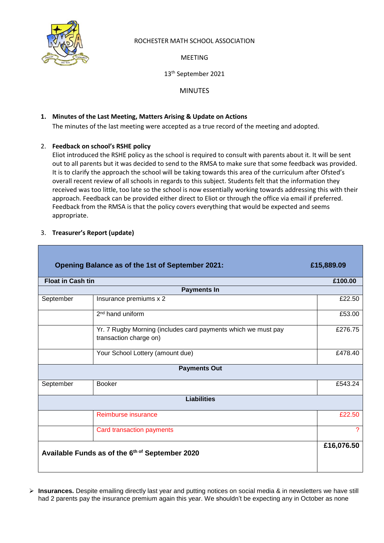

### ROCHESTER MATH SCHOOL ASSOCIATION

MEETING

13 th September 2021

MINUTES

## **1. Minutes of the Last Meeting, Matters Arising & Update on Actions**

The minutes of the last meeting were accepted as a true record of the meeting and adopted.

## 2. **Feedback on school's RSHE policy**

Eliot introduced the RSHE policy as the school is required to consult with parents about it. It will be sent out to all parents but it was decided to send to the RMSA to make sure that some feedback was provided. It is to clarify the approach the school will be taking towards this area of the curriculum after Ofsted's overall recent review of all schools in regards to this subject. Students felt that the information they received was too little, too late so the school is now essentially working towards addressing this with their approach. Feedback can be provided either direct to Eliot or through the office via email if preferred. Feedback from the RMSA is that the policy covers everything that would be expected and seems appropriate.

| Opening Balance as of the 1st of September 2021:<br>£15,889.09 |                                                                                         |         |  |  |  |  |
|----------------------------------------------------------------|-----------------------------------------------------------------------------------------|---------|--|--|--|--|
| <b>Float in Cash tin</b>                                       |                                                                                         |         |  |  |  |  |
| <b>Payments In</b>                                             |                                                                                         |         |  |  |  |  |
| September                                                      | Insurance premiums x 2                                                                  | £22.50  |  |  |  |  |
|                                                                | $2nd$ hand uniform                                                                      | £53.00  |  |  |  |  |
|                                                                | Yr. 7 Rugby Morning (includes card payments which we must pay<br>transaction charge on) | £276.75 |  |  |  |  |
|                                                                | Your School Lottery (amount due)                                                        | £478.40 |  |  |  |  |
| <b>Payments Out</b>                                            |                                                                                         |         |  |  |  |  |
| September                                                      | <b>Booker</b>                                                                           | £543.24 |  |  |  |  |
| <b>Liabilities</b>                                             |                                                                                         |         |  |  |  |  |
|                                                                | Reimburse insurance                                                                     | £22.50  |  |  |  |  |
|                                                                | <b>Card transaction payments</b>                                                        | 2       |  |  |  |  |
| Available Funds as of the 6th of September 2020                |                                                                                         |         |  |  |  |  |

## 3. **Treasurer's Report (update)**

➢ **Insurances.** Despite emailing directly last year and putting notices on social media & in newsletters we have still had 2 parents pay the insurance premium again this year. We shouldn't be expecting any in October as none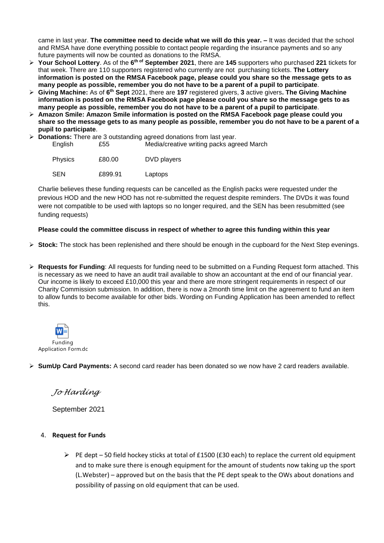came in last year. **The committee need to decide what we will do this year. –** It was decided that the school and RMSA have done everything possible to contact people regarding the insurance payments and so any future payments will now be counted as donations to the RMSA.

- ➢ **Your School Lottery**. As of the **6 th of September 2021**, there are **145** supporters who purchased **221** tickets for that week. There are 110 supporters registered who currently are not purchasing tickets. **The Lottery information is posted on the RMSA Facebook page, please could you share so the message gets to as many people as possible, remember you do not have to be a parent of a pupil to participate**.
- ➢ **Giving Machine:** As of **6 th Sept** 2021, there are **197** registered givers, **3** active givers**. The Giving Machine information is posted on the RMSA Facebook page please could you share so the message gets to as many people as possible, remember you do not have to be a parent of a pupil to participate**.
- ➢ **Amazon Smile: Amazon Smile information is posted on the RMSA Facebook page please could you share so the message gets to as many people as possible, remember you do not have to be a parent of a pupil to participate**.
- ➢ **Donations:** There are 3 outstanding agreed donations from last year. English £55 Media/creative writing packs agreed March

| <b>Physics</b> | £80.00  | DVD players |
|----------------|---------|-------------|
| <b>SEN</b>     | £899.91 | Laptops     |

Charlie believes these funding requests can be cancelled as the English packs were requested under the previous HOD and the new HOD has not re-submitted the request despite reminders. The DVDs it was found were not compatible to be used with laptops so no longer required, and the SEN has been resubmitted (see funding requests)

#### **Please could the committee discuss in respect of whether to agree this funding within this year**

- ➢ **Stock:** The stock has been replenished and there should be enough in the cupboard for the Next Step evenings.
- ➢ **Requests for Funding**: All requests for funding need to be submitted on a Funding Request form attached. This is necessary as we need to have an audit trail available to show an accountant at the end of our financial year. Our income is likely to exceed £10,000 this year and there are more stringent requirements in respect of our Charity Commission submission. In addition, there is now a 2month time limit on the agreement to fund an item to allow funds to become available for other bids. Wording on Funding Application has been amended to reflect this.



➢ **SumUp Card Payments:** A second card reader has been donated so we now have 2 card readers available.

*Jo Harding*

September 2021

- 4. **Request for Funds**
	- ➢ PE dept 50 field hockey sticks at total of £1500 (£30 each) to replace the current old equipment and to make sure there is enough equipment for the amount of students now taking up the sport (L.Webster) – approved but on the basis that the PE dept speak to the OWs about donations and possibility of passing on old equipment that can be used.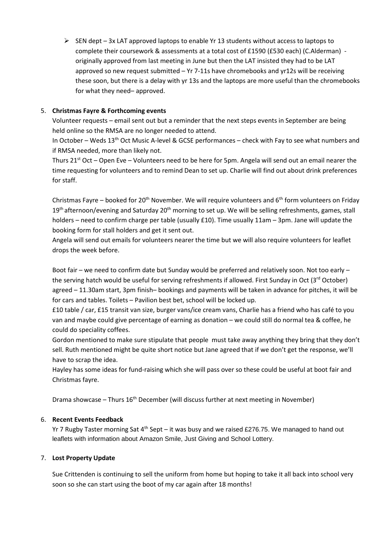$\triangleright$  SEN dept – 3x LAT approved laptops to enable Yr 13 students without access to laptops to complete their coursework & assessments at a total cost of £1590 (£530 each) (C.Alderman) originally approved from last meeting in June but then the LAT insisted they had to be LAT approved so new request submitted – Yr 7-11s have chromebooks and yr12s will be receiving these soon, but there is a delay with yr 13s and the laptops are more useful than the chromebooks for what they need– approved.

#### 5. **Christmas Fayre & Forthcoming events**

Volunteer requests – email sent out but a reminder that the next steps events in September are being held online so the RMSA are no longer needed to attend.

In October – Weds 13<sup>th</sup> Oct Music A-level & GCSE performances – check with Fay to see what numbers and if RMSA needed, more than likely not.

Thurs 21<sup>st</sup> Oct – Open Eve – Volunteers need to be here for 5pm. Angela will send out an email nearer the time requesting for volunteers and to remind Dean to set up. Charlie will find out about drink preferences for staff.

Christmas Fayre – booked for 20<sup>th</sup> November. We will require volunteers and 6<sup>th</sup> form volunteers on Friday 19<sup>th</sup> afternoon/evening and Saturday 20<sup>th</sup> morning to set up. We will be selling refreshments, games, stall holders – need to confirm charge per table (usually £10). Time usually 11am – 3pm. Jane will update the booking form for stall holders and get it sent out.

Angela will send out emails for volunteers nearer the time but we will also require volunteers for leaflet drops the week before.

Boot fair – we need to confirm date but Sunday would be preferred and relatively soon. Not too early – the serving hatch would be useful for serving refreshments if allowed. First Sunday in Oct (3rd October) agreed – 11.30am start, 3pm finish– bookings and payments will be taken in advance for pitches, it will be for cars and tables. Toilets – Pavilion best bet, school will be locked up.

£10 table / car, £15 transit van size, burger vans/ice cream vans, Charlie has a friend who has café to you van and maybe could give percentage of earning as donation – we could still do normal tea & coffee, he could do speciality coffees.

Gordon mentioned to make sure stipulate that people must take away anything they bring that they don't sell. Ruth mentioned might be quite short notice but Jane agreed that if we don't get the response, we'll have to scrap the idea.

Hayley has some ideas for fund-raising which she will pass over so these could be useful at boot fair and Christmas fayre.

Drama showcase – Thurs 16<sup>th</sup> December (will discuss further at next meeting in November)

#### 6. **Recent Events Feedback**

Yr 7 Rugby Taster morning Sat  $4<sup>th</sup>$  Sept – it was busy and we raised £276.75. We managed to hand out leaflets with information about Amazon Smile, Just Giving and School Lottery.

#### 7. **Lost Property Update**

Sue Crittenden is continuing to sell the uniform from home but hoping to take it all back into school very soon so she can start using the boot of my car again after 18 months!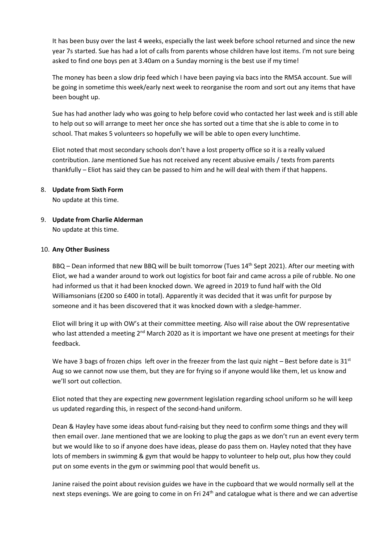It has been busy over the last 4 weeks, especially the last week before school returned and since the new year 7s started. Sue has had a lot of calls from parents whose children have lost items. I'm not sure being asked to find one boys pen at 3.40am on a Sunday morning is the best use if my time!

The money has been a slow drip feed which I have been paying via bacs into the RMSA account. Sue will be going in sometime this week/early next week to reorganise the room and sort out any items that have been bought up.

Sue has had another lady who was going to help before covid who contacted her last week and is still able to help out so will arrange to meet her once she has sorted out a time that she is able to come in to school. That makes 5 volunteers so hopefully we will be able to open every lunchtime.

Eliot noted that most secondary schools don't have a lost property office so it is a really valued contribution. Jane mentioned Sue has not received any recent abusive emails / texts from parents thankfully – Eliot has said they can be passed to him and he will deal with them if that happens.

#### 8. **Update from Sixth Form**

No update at this time.

# 9. **Update from Charlie Alderman**

No update at this time.

#### 10. **Any Other Business**

BBQ - Dean informed that new BBQ will be built tomorrow (Tues 14<sup>th</sup> Sept 2021). After our meeting with Eliot, we had a wander around to work out logistics for boot fair and came across a pile of rubble. No one had informed us that it had been knocked down. We agreed in 2019 to fund half with the Old Williamsonians (£200 so £400 in total). Apparently it was decided that it was unfit for purpose by someone and it has been discovered that it was knocked down with a sledge-hammer.

Eliot will bring it up with OW's at their committee meeting. Also will raise about the OW representative who last attended a meeting 2<sup>nd</sup> March 2020 as it is important we have one present at meetings for their feedback.

We have 3 bags of frozen chips left over in the freezer from the last quiz night – Best before date is  $31^{st}$ Aug so we cannot now use them, but they are for frying so if anyone would like them, let us know and we'll sort out collection.

Eliot noted that they are expecting new government legislation regarding school uniform so he will keep us updated regarding this, in respect of the second-hand uniform.

Dean & Hayley have some ideas about fund-raising but they need to confirm some things and they will then email over. Jane mentioned that we are looking to plug the gaps as we don't run an event every term but we would like to so if anyone does have ideas, please do pass them on. Hayley noted that they have lots of members in swimming & gym that would be happy to volunteer to help out, plus how they could put on some events in the gym or swimming pool that would benefit us.

Janine raised the point about revision guides we have in the cupboard that we would normally sell at the next steps evenings. We are going to come in on Fri 24<sup>th</sup> and catalogue what is there and we can advertise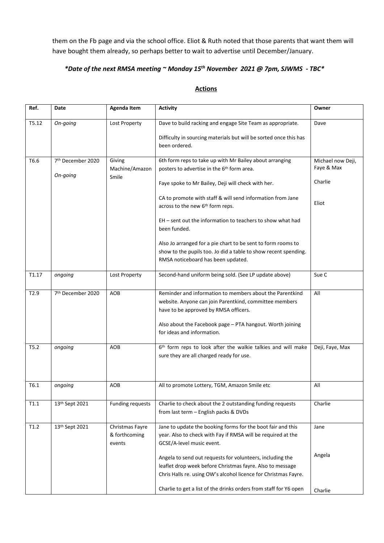them on the Fb page and via the school office. Eliot & Ruth noted that those parents that want them will have bought them already, so perhaps better to wait to advertise until December/January.

#### *\*Date of the next RMSA meeting ~ Monday 15 th November 2021 @ 7pm, SJWMS - TBC\**

## **Actions**

| Ref.              | Date                          | <b>Agenda Item</b>                         | <b>Activity</b>                                                                                                                                                                           | Owner                           |
|-------------------|-------------------------------|--------------------------------------------|-------------------------------------------------------------------------------------------------------------------------------------------------------------------------------------------|---------------------------------|
| T5.12             | On-going                      | Lost Property                              | Dave to build racking and engage Site Team as appropriate.                                                                                                                                | Dave                            |
|                   |                               |                                            | Difficulty in sourcing materials but will be sorted once this has<br>been ordered.                                                                                                        |                                 |
| T6.6              | 7th December 2020             | Giving<br>Machine/Amazon                   | 6th form reps to take up with Mr Bailey about arranging<br>posters to advertise in the 6 <sup>th</sup> form area.                                                                         | Michael now Deji,<br>Faye & Max |
|                   | On-going                      | Smile                                      | Faye spoke to Mr Bailey, Deji will check with her.                                                                                                                                        | Charlie                         |
|                   |                               |                                            | CA to promote with staff & will send information from Jane<br>across to the new 6 <sup>th</sup> form reps.                                                                                | Eliot                           |
|                   |                               |                                            | EH - sent out the information to teachers to show what had<br>been funded.                                                                                                                |                                 |
|                   |                               |                                            | Also Jo arranged for a pie chart to be sent to form rooms to<br>show to the pupils too. Jo did a table to show recent spending.<br>RMSA noticeboard has been updated.                     |                                 |
| T <sub>1.17</sub> | ongoing                       | Lost Property                              | Second-hand uniform being sold. (See LP update above)                                                                                                                                     | Sue C                           |
| T2.9              | 7 <sup>th</sup> December 2020 | AOB                                        | Reminder and information to members about the Parentkind<br>website. Anyone can join Parentkind, committee members<br>have to be approved by RMSA officers.                               | All                             |
|                   |                               |                                            | Also about the Facebook page - PTA hangout. Worth joining<br>for ideas and information.                                                                                                   |                                 |
| T5.2              | ongoing                       | AOB                                        | 6 <sup>th</sup> form reps to look after the walkie talkies and will make<br>sure they are all charged ready for use.                                                                      | Deji, Faye, Max                 |
| T6.1              | ongoing                       | AOB                                        | All to promote Lottery, TGM, Amazon Smile etc                                                                                                                                             | All                             |
| T1.1              | 13th Sept 2021                | <b>Funding requests</b>                    | Charlie to check about the 2 outstanding funding requests<br>from last term - English packs & DVDs                                                                                        | Charlie                         |
| T1.2              | 13th Sept 2021                | Christmas Fayre<br>& forthcoming<br>events | Jane to update the booking forms for the boot fair and this<br>year. Also to check with Fay if RMSA will be required at the<br>GCSE/A-level music event.                                  | Jane                            |
|                   |                               |                                            | Angela to send out requests for volunteers, including the<br>leaflet drop week before Christmas fayre. Also to message<br>Chris Halls re. using OW's alcohol licence for Christmas Fayre. | Angela                          |
|                   |                               |                                            | Charlie to get a list of the drinks orders from staff for Y6 open                                                                                                                         | Charlie                         |